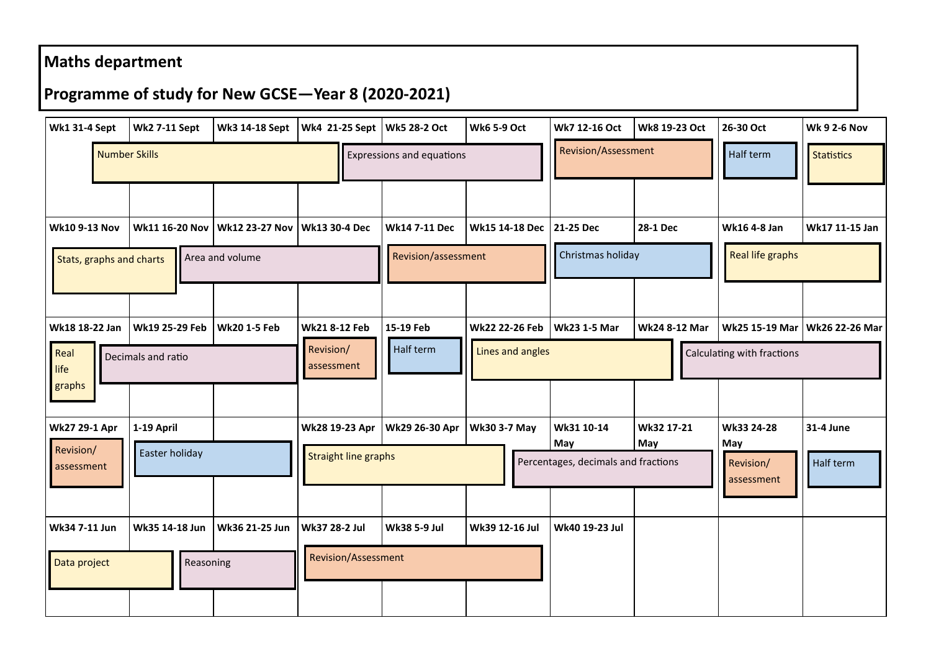## **Maths department**

## **Programme of study for New GCSE—Year 8 (2020-2021)**

| <b>Wk1 31-4 Sept</b>     | <b>Wk2 7-11 Sept</b>  | Wk3 14-18 Sept        | Wk4 21-25 Sept   Wk5 28-2 Oct    |                      | <b>Wk6 5-9 Oct</b>       | Wk7 12-16 Oct                              | Wk8 19-23 Oct | 26-30 Oct                      | <b>Wk 9 2-6 Nov</b> |
|--------------------------|-----------------------|-----------------------|----------------------------------|----------------------|--------------------------|--------------------------------------------|---------------|--------------------------------|---------------------|
| <b>Number Skills</b>     |                       |                       | <b>Expressions and equations</b> |                      |                          | Revision/Assessment                        |               | Half term                      | <b>Statistics</b>   |
|                          |                       |                       |                                  |                      |                          |                                            |               |                                |                     |
| <b>Wk10 9-13 Nov</b>     | <b>Wk11 16-20 Nov</b> | <b>Wk12 23-27 Nov</b> | <b>Wk13 30-4 Dec</b>             | <b>Wk14 7-11 Dec</b> | Wk15 14-18 Dec 21-25 Dec |                                            | 28-1 Dec      | Wk16 4-8 Jan                   | Wk17 11-15 Jan      |
| Stats, graphs and charts |                       | Area and volume       |                                  | Revision/assessment  |                          | Christmas holiday                          |               | <b>Real life graphs</b>        |                     |
|                          |                       |                       |                                  |                      |                          |                                            |               |                                |                     |
| Wk18 18-22 Jan           | Wk19 25-29 Feb        | <b>Wk20 1-5 Feb</b>   | <b>Wk21 8-12 Feb</b>             | 15-19 Feb            | Wk22 22-26 Feb           | <b>Wk23 1-5 Mar</b>                        | Wk24 8-12 Mar | Wk25 15-19 Mar                 | Wk26 22-26 Mar      |
| Real<br>life             | Decimals and ratio    |                       | Revision/<br>assessment          | Half term            | Lines and angles         |                                            |               | Calculating with fractions     |                     |
| graphs                   |                       |                       |                                  |                      |                          |                                            |               |                                |                     |
| Wk27 29-1 Apr            | 1-19 April            |                       | Wk28 19-23 Apr                   | Wk29 26-30 Apr       | <b>Wk30 3-7 May</b>      | Wk31 10-14                                 | Wk32 17-21    | Wk33 24-28                     | 31-4 June           |
| Revision/<br>assessment  | Easter holiday        |                       | <b>Straight line graphs</b>      |                      |                          | May<br>Percentages, decimals and fractions | May           | May<br>Revision/<br>assessment | Half term           |
|                          |                       |                       |                                  |                      |                          |                                            |               |                                |                     |
| Wk34 7-11 Jun            | Wk35 14-18 Jun        | Wk36 21-25 Jun        | Wk37 28-2 Jul                    | <b>Wk38 5-9 Jul</b>  | Wk39 12-16 Jul           | Wk40 19-23 Jul                             |               |                                |                     |
| Data project             | Reasoning             |                       | Revision/Assessment              |                      |                          |                                            |               |                                |                     |
|                          |                       |                       |                                  |                      |                          |                                            |               |                                |                     |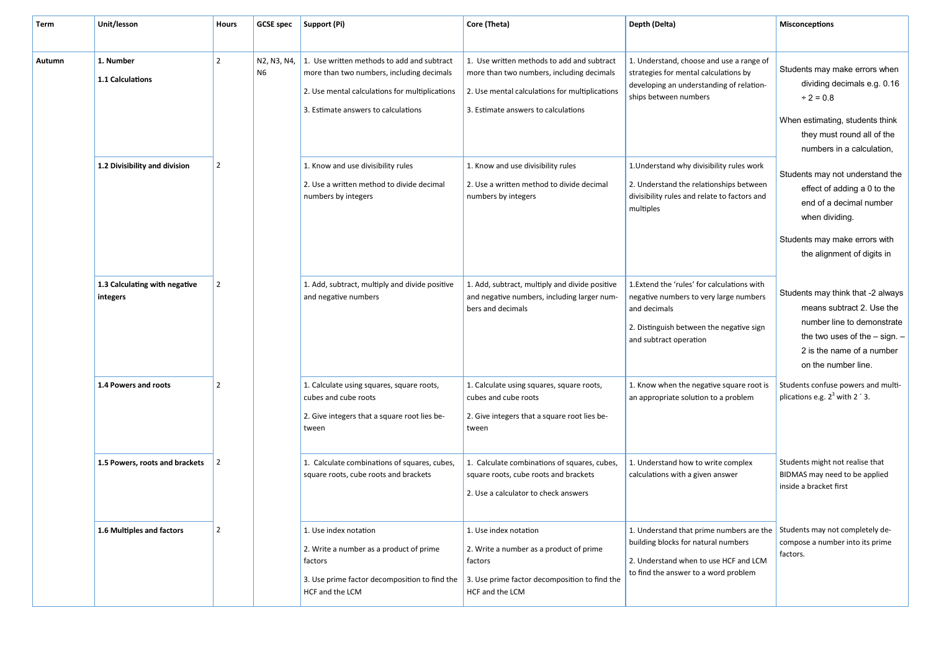| Term   | Unit/lesson                               | Hours          | <b>GCSE spec</b>              | Support (Pi)                                                                                                                                                                     | Core (Theta)                                                                                                                                                                     | Depth (Delta)                                                                                                                                                               | <b>Misconceptions</b>                                                                                                                                                                 |
|--------|-------------------------------------------|----------------|-------------------------------|----------------------------------------------------------------------------------------------------------------------------------------------------------------------------------|----------------------------------------------------------------------------------------------------------------------------------------------------------------------------------|-----------------------------------------------------------------------------------------------------------------------------------------------------------------------------|---------------------------------------------------------------------------------------------------------------------------------------------------------------------------------------|
| Autumn | 1. Number<br>1.1 Calculations             | $\overline{2}$ | N2, N3, N4,<br>N <sub>6</sub> | 1. Use written methods to add and subtract<br>more than two numbers, including decimals<br>2. Use mental calculations for multiplications<br>3. Estimate answers to calculations | 1. Use written methods to add and subtract<br>more than two numbers, including decimals<br>2. Use mental calculations for multiplications<br>3. Estimate answers to calculations | 1. Understand, choose and use a range of<br>strategies for mental calculations by<br>developing an understanding of relation-<br>ships between numbers                      | Students may make errors when<br>dividing decimals e.g. 0.16<br>$\div 2 = 0.8$<br>When estimating, students think<br>they must round all of the<br>numbers in a calculation.          |
|        | 1.2 Divisibility and division             | $\overline{2}$ |                               | 1. Know and use divisibility rules<br>2. Use a written method to divide decimal<br>numbers by integers                                                                           | 1. Know and use divisibility rules<br>2. Use a written method to divide decimal<br>numbers by integers                                                                           | 1. Understand why divisibility rules work<br>2. Understand the relationships between<br>divisibility rules and relate to factors and<br>multiples                           | Students may not understand the<br>effect of adding a 0 to the<br>end of a decimal number<br>when dividing.<br>Students may make errors with<br>the alignment of digits in            |
|        | 1.3 Calculating with negative<br>integers | 2              |                               | 1. Add, subtract, multiply and divide positive<br>and negative numbers                                                                                                           | 1. Add, subtract, multiply and divide positive<br>and negative numbers, including larger num-<br>bers and decimals                                                               | 1. Extend the 'rules' for calculations with<br>negative numbers to very large numbers<br>and decimals<br>2. Distinguish between the negative sign<br>and subtract operation | Students may think that -2 always<br>means subtract 2. Use the<br>number line to demonstrate<br>the two uses of the $-$ sign. $-$<br>2 is the name of a number<br>on the number line. |
|        | 1.4 Powers and roots                      | $\overline{2}$ |                               | 1. Calculate using squares, square roots,<br>cubes and cube roots<br>2. Give integers that a square root lies be-<br>tween                                                       | 1. Calculate using squares, square roots,<br>cubes and cube roots<br>2. Give integers that a square root lies be-<br>tween                                                       | 1. Know when the negative square root is<br>an appropriate solution to a problem                                                                                            | Students confuse powers and multi-<br>plications e.g. $2^3$ with 2 $'$ 3.                                                                                                             |
|        | 1.5 Powers, roots and brackets            | $\vert$ 2      |                               | 1. Calculate combinations of squares, cubes,<br>square roots, cube roots and brackets                                                                                            | 1. Calculate combinations of squares, cubes,<br>square roots, cube roots and brackets<br>2. Use a calculator to check answers                                                    | 1. Understand how to write complex<br>calculations with a given answer                                                                                                      | Students might not realise that<br>BIDMAS may need to be applied<br>inside a bracket first                                                                                            |
|        | 1.6 Multiples and factors                 | 2              |                               | 1. Use index notation<br>2. Write a number as a product of prime<br>factors<br>3. Use prime factor decomposition to find the<br>HCF and the LCM                                  | 1. Use index notation<br>2. Write a number as a product of prime<br>factors<br>3. Use prime factor decomposition to find the<br>HCF and the LCM                                  | 1. Understand that prime numbers are the<br>building blocks for natural numbers<br>2. Understand when to use HCF and LCM<br>to find the answer to a word problem            | Students may not completely de-<br>compose a number into its prime<br>factors.                                                                                                        |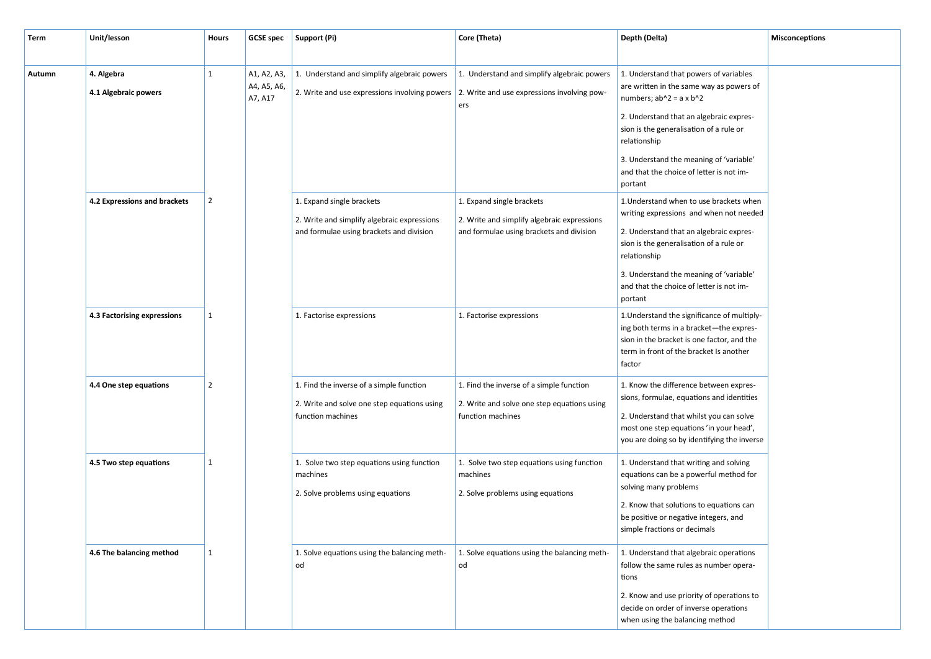| <b>Term</b> | Unit/lesson                        | <b>Hours</b>   |                                       | GCSE spec   Support (Pi)                                                                                                                 | Core (Theta)                                                                                                         | Depth (Delta)                                                                                                                                                                                                                                                                              | <b>Misconceptions</b> |
|-------------|------------------------------------|----------------|---------------------------------------|------------------------------------------------------------------------------------------------------------------------------------------|----------------------------------------------------------------------------------------------------------------------|--------------------------------------------------------------------------------------------------------------------------------------------------------------------------------------------------------------------------------------------------------------------------------------------|-----------------------|
|             |                                    |                |                                       |                                                                                                                                          |                                                                                                                      |                                                                                                                                                                                                                                                                                            |                       |
| Autumn      | 4. Algebra<br>4.1 Algebraic powers | $\mathbf{1}$   | A1, A2, A3,<br>A4, A5, A6,<br>A7, A17 | 1. Understand and simplify algebraic powers<br>2. Write and use expressions involving powers 2. Write and use expressions involving pow- | 1. Understand and simplify algebraic powers<br>ers                                                                   | 1. Understand that powers of variables<br>are written in the same way as powers of<br>numbers; $ab^2 = a \times b^2$<br>2. Understand that an algebraic expres-<br>sion is the generalisation of a rule or<br>relationship                                                                 |                       |
|             |                                    |                |                                       |                                                                                                                                          |                                                                                                                      | 3. Understand the meaning of 'variable'<br>and that the choice of letter is not im-<br>portant                                                                                                                                                                                             |                       |
|             | 4.2 Expressions and brackets       | $\overline{2}$ |                                       | 1. Expand single brackets<br>2. Write and simplify algebraic expressions<br>and formulae using brackets and division                     | 1. Expand single brackets<br>2. Write and simplify algebraic expressions<br>and formulae using brackets and division | 1. Understand when to use brackets when<br>writing expressions and when not needed<br>2. Understand that an algebraic expres-<br>sion is the generalisation of a rule or<br>relationship<br>3. Understand the meaning of 'variable'<br>and that the choice of letter is not im-<br>portant |                       |
|             | 4.3 Factorising expressions        | 1              |                                       | 1. Factorise expressions                                                                                                                 | 1. Factorise expressions                                                                                             | 1. Understand the significance of multiply-<br>ing both terms in a bracket-the expres-<br>sion in the bracket is one factor, and the<br>term in front of the bracket Is another<br>factor                                                                                                  |                       |
|             | 4.4 One step equations             | $\overline{2}$ |                                       | 1. Find the inverse of a simple function<br>2. Write and solve one step equations using<br>function machines                             | 1. Find the inverse of a simple function<br>2. Write and solve one step equations using<br>function machines         | 1. Know the difference between expres-<br>sions, formulae, equations and identities<br>2. Understand that whilst you can solve<br>most one step equations 'in your head',<br>you are doing so by identifying the inverse                                                                   |                       |
|             | 4.5 Two step equations             | 1              |                                       | 1. Solve two step equations using function<br>machines<br>2. Solve problems using equations                                              | 1. Solve two step equations using function<br>machines<br>2. Solve problems using equations                          | 1. Understand that writing and solving<br>equations can be a powerful method for<br>solving many problems<br>2. Know that solutions to equations can<br>be positive or negative integers, and<br>simple fractions or decimals                                                              |                       |
|             | 4.6 The balancing method           | $\mathbf{1}$   |                                       | 1. Solve equations using the balancing meth-<br>od                                                                                       | 1. Solve equations using the balancing meth-<br>od                                                                   | 1. Understand that algebraic operations<br>follow the same rules as number opera-<br>tions<br>2. Know and use priority of operations to<br>decide on order of inverse operations<br>when using the balancing method                                                                        |                       |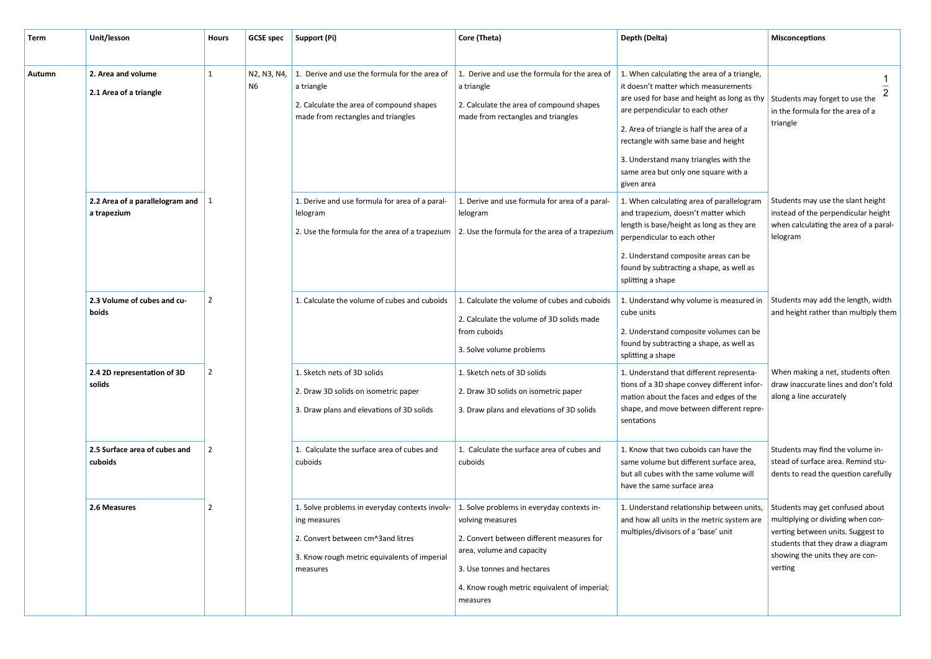| Term   | Unit/lesson                                              | <b>Hours</b>   | <b>GCSE spec</b>  | Support (Pi)                                                                                                                                                    | Core (Theta)                                                                                                                                                                                                                       | Depth (Delta)                                                                                                                                                                                                                                                                                                                                            | <b>Misconceptions</b>                                                                                                                                   |
|--------|----------------------------------------------------------|----------------|-------------------|-----------------------------------------------------------------------------------------------------------------------------------------------------------------|------------------------------------------------------------------------------------------------------------------------------------------------------------------------------------------------------------------------------------|----------------------------------------------------------------------------------------------------------------------------------------------------------------------------------------------------------------------------------------------------------------------------------------------------------------------------------------------------------|---------------------------------------------------------------------------------------------------------------------------------------------------------|
| Autumn | 2. Area and volume<br>2.1 Area of a triangle             |                | N2, N3, N4,<br>N6 | 1. Derive and use the formula for the area of<br>a triangle<br>2. Calculate the area of compound shapes<br>made from rectangles and triangles                   | 1. Derive and use the formula for the area of<br>a triangle<br>2. Calculate the area of compound shapes<br>made from rectangles and triangles                                                                                      | 1. When calculating the area of a triangle,<br>it doesn't matter which measurements<br>are used for base and height as long as thy<br>are perpendicular to each other<br>2. Area of triangle is half the area of a<br>rectangle with same base and height<br>3. Understand many triangles with the<br>same area but only one square with a<br>given area | $\overline{2}$<br>Students may forget to use the<br>in the formula for the area of a<br>triangle                                                        |
|        | 2.2 Area of a parallelogram and $\vert$ 1<br>a trapezium |                |                   | 1. Derive and use formula for area of a paral-<br>lelogram                                                                                                      | 1. Derive and use formula for area of a paral-<br>lelogram<br>2. Use the formula for the area of a trapezium 2. Use the formula for the area of a trapezium                                                                        | 1. When calculating area of parallelogram<br>and trapezium, doesn't matter which<br>length is base/height as long as they are<br>perpendicular to each other<br>2. Understand composite areas can be<br>found by subtracting a shape, as well as<br>splitting a shape                                                                                    | Students may use the slant height<br>instead of the perpendicular height<br>when calculating the area of a paral-<br>lelogram                           |
|        | 2.3 Volume of cubes and cu-<br>boids                     | $\overline{2}$ |                   | 1. Calculate the volume of cubes and cuboids                                                                                                                    | 1. Calculate the volume of cubes and cuboids<br>2. Calculate the volume of 3D solids made<br>from cuboids<br>3. Solve volume problems                                                                                              | 1. Understand why volume is measured in<br>cube units<br>2. Understand composite volumes can be<br>found by subtracting a shape, as well as<br>splitting a shape                                                                                                                                                                                         | Students may add the length, width<br>and height rather than multiply them                                                                              |
|        | 2.4 2D representation of 3D<br>solids                    | $\overline{2}$ |                   | 1. Sketch nets of 3D solids<br>2. Draw 3D solids on isometric paper<br>3. Draw plans and elevations of 3D solids                                                | 1. Sketch nets of 3D solids<br>2. Draw 3D solids on isometric paper<br>3. Draw plans and elevations of 3D solids                                                                                                                   | 1. Understand that different representa-<br>tions of a 3D shape convey different infor-<br>mation about the faces and edges of the<br>shape, and move between different repre-<br>sentations                                                                                                                                                             | When making a net, students often<br>draw inaccurate lines and don't fold<br>along a line accurately                                                    |
|        | 2.5 Surface area of cubes and<br>cuboids                 |                |                   | 1. Calculate the surface area of cubes and<br>cuboids                                                                                                           | 1. Calculate the surface area of cubes and<br>cuboids                                                                                                                                                                              | 1. Know that two cuboids can have the<br>same volume but different surface area,<br>but all cubes with the same volume will<br>have the same surface area                                                                                                                                                                                                | Students may find the volume in-<br>stead of surface area. Remind stu-<br>dents to read the question carefully                                          |
|        | 2.6 Measures                                             |                |                   | 1. Solve problems in everyday contexts involv-<br>ing measures<br>2. Convert between cm^3and litres<br>3. Know rough metric equivalents of imperial<br>measures | 1. Solve problems in everyday contexts in-<br>volving measures<br>2. Convert between different measures for<br>area, volume and capacity<br>3. Use tonnes and hectares<br>4. Know rough metric equivalent of imperial;<br>measures | 1. Understand relationship between units,<br>and how all units in the metric system are $\parallel$ multiplying or dividing when con-<br>multiples/divisors of a 'base' unit                                                                                                                                                                             | Students may get confused about<br>verting between units. Suggest to<br>students that they draw a diagram<br>showing the units they are con-<br>verting |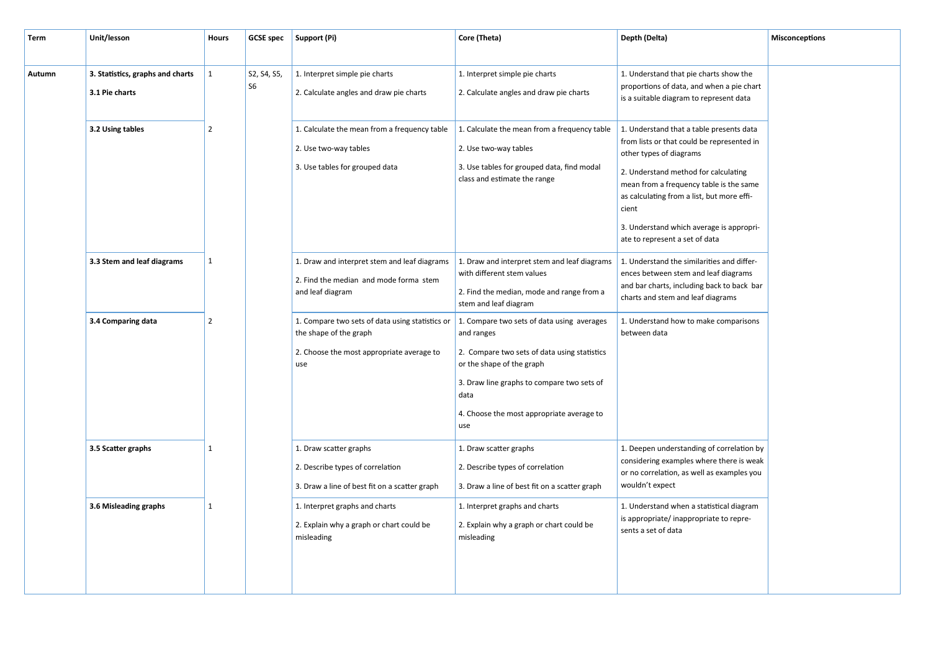| Term   | Unit/lesson                      | <b>Hours</b>   |                | GCSE spec   Support (Pi)                                                  | Core (Theta)                                                               | Depth (Delta)                                                                                                                          | <b>Misconceptions</b>                        |                                              |                                                                                        |  |
|--------|----------------------------------|----------------|----------------|---------------------------------------------------------------------------|----------------------------------------------------------------------------|----------------------------------------------------------------------------------------------------------------------------------------|----------------------------------------------|----------------------------------------------|----------------------------------------------------------------------------------------|--|
|        |                                  |                |                |                                                                           |                                                                            |                                                                                                                                        |                                              |                                              |                                                                                        |  |
| Autumn | 3. Statistics, graphs and charts | $\vert$ 1      | S2, S4, S5,    | 1. Interpret simple pie charts                                            | 1. Interpret simple pie charts                                             | 1. Understand that pie charts show the                                                                                                 |                                              |                                              |                                                                                        |  |
|        | 3.1 Pie charts                   |                | S <sub>6</sub> | 2. Calculate angles and draw pie charts                                   | 2. Calculate angles and draw pie charts                                    | proportions of data, and when a pie chart<br>is a suitable diagram to represent data                                                   |                                              |                                              |                                                                                        |  |
|        |                                  |                |                |                                                                           |                                                                            |                                                                                                                                        |                                              |                                              |                                                                                        |  |
|        | 3.2 Using tables                 | $\overline{2}$ |                |                                                                           |                                                                            |                                                                                                                                        | 1. Calculate the mean from a frequency table | 1. Calculate the mean from a frequency table | 1. Understand that a table presents data<br>from lists or that could be represented in |  |
|        |                                  |                |                | 2. Use two-way tables                                                     | 2. Use two-way tables                                                      | other types of diagrams                                                                                                                |                                              |                                              |                                                                                        |  |
|        |                                  |                |                | 3. Use tables for grouped data                                            | 3. Use tables for grouped data, find modal<br>class and estimate the range | 2. Understand method for calculating<br>mean from a frequency table is the same<br>as calculating from a list, but more effi-<br>cient |                                              |                                              |                                                                                        |  |
|        |                                  |                |                |                                                                           | 3. Understand which average is appropri-<br>ate to represent a set of data |                                                                                                                                        |                                              |                                              |                                                                                        |  |
|        | 3.3 Stem and leaf diagrams       | $\mathbf{1}$   |                | 1. Draw and interpret stem and leaf diagrams                              | 1. Draw and interpret stem and leaf diagrams<br>with different stem values | 1. Understand the similarities and differ-<br>ences between stem and leaf diagrams                                                     |                                              |                                              |                                                                                        |  |
|        |                                  |                |                | 2. Find the median and mode forma stem<br>and leaf diagram                | 2. Find the median, mode and range from a                                  | and bar charts, including back to back bar                                                                                             |                                              |                                              |                                                                                        |  |
|        |                                  |                |                |                                                                           | stem and leaf diagram                                                      | charts and stem and leaf diagrams                                                                                                      |                                              |                                              |                                                                                        |  |
|        | 3.4 Comparing data               | $\overline{2}$ |                | 1. Compare two sets of data using statistics or<br>the shape of the graph | 1. Compare two sets of data using averages<br>and ranges                   | 1. Understand how to make comparisons<br>between data                                                                                  |                                              |                                              |                                                                                        |  |
|        |                                  |                |                | 2. Choose the most appropriate average to<br>use                          | 2. Compare two sets of data using statistics<br>or the shape of the graph  |                                                                                                                                        |                                              |                                              |                                                                                        |  |
|        |                                  |                |                |                                                                           | 3. Draw line graphs to compare two sets of<br>data                         |                                                                                                                                        |                                              |                                              |                                                                                        |  |
|        |                                  |                |                |                                                                           | 4. Choose the most appropriate average to<br>use                           |                                                                                                                                        |                                              |                                              |                                                                                        |  |
|        | 3.5 Scatter graphs               | $\mathbf{1}$   |                | 1. Draw scatter graphs                                                    | 1. Draw scatter graphs                                                     | 1. Deepen understanding of correlation by                                                                                              |                                              |                                              |                                                                                        |  |
|        |                                  |                |                | 2. Describe types of correlation                                          | 2. Describe types of correlation                                           | considering examples where there is weak<br>or no correlation, as well as examples you                                                 |                                              |                                              |                                                                                        |  |
|        |                                  |                |                | 3. Draw a line of best fit on a scatter graph                             | 3. Draw a line of best fit on a scatter graph                              | wouldn't expect                                                                                                                        |                                              |                                              |                                                                                        |  |
|        | 3.6 Misleading graphs            | $\mathbf{1}$   |                | 1. Interpret graphs and charts                                            | 1. Interpret graphs and charts                                             | 1. Understand when a statistical diagram                                                                                               |                                              |                                              |                                                                                        |  |
|        |                                  |                |                | 2. Explain why a graph or chart could be<br>misleading                    | 2. Explain why a graph or chart could be<br>misleading                     | is appropriate/inappropriate to repre-<br>sents a set of data                                                                          |                                              |                                              |                                                                                        |  |
|        |                                  |                |                |                                                                           |                                                                            |                                                                                                                                        |                                              |                                              |                                                                                        |  |
|        |                                  |                |                |                                                                           |                                                                            |                                                                                                                                        |                                              |                                              |                                                                                        |  |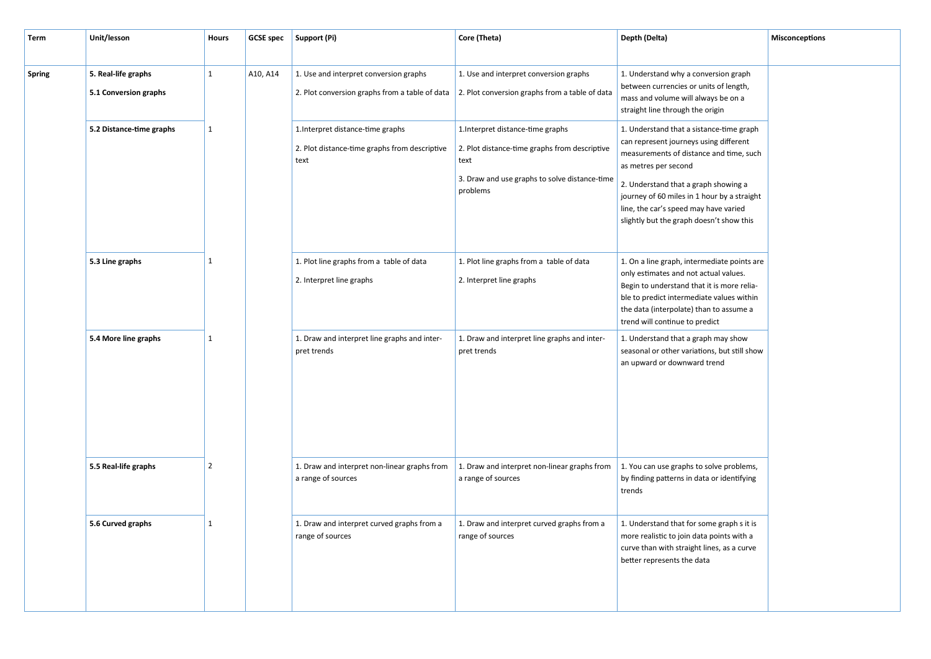| Term   | Unit/lesson                                  | <b>Hours</b>   |          | GCSE spec   Support (Pi)                                                                                                                        | Core (Theta)                                                                                                                                            | Depth (Delta)                                                                                                                                                                                                                                                                                                                     | <b>Misconceptions</b> |
|--------|----------------------------------------------|----------------|----------|-------------------------------------------------------------------------------------------------------------------------------------------------|---------------------------------------------------------------------------------------------------------------------------------------------------------|-----------------------------------------------------------------------------------------------------------------------------------------------------------------------------------------------------------------------------------------------------------------------------------------------------------------------------------|-----------------------|
| Spring | 5. Real-life graphs<br>5.1 Conversion graphs | $\mathbf{1}$   | A10, A14 | 1. Use and interpret conversion graphs<br>2. Plot conversion graphs from a table of data $\vert$ 2. Plot conversion graphs from a table of data | 1. Use and interpret conversion graphs                                                                                                                  | 1. Understand why a conversion graph<br>between currencies or units of length,<br>mass and volume will always be on a<br>straight line through the origin                                                                                                                                                                         |                       |
|        | 5.2 Distance-time graphs                     | $\mathbf{1}$   |          | 1. Interpret distance-time graphs<br>2. Plot distance-time graphs from descriptive<br>text                                                      | 1. Interpret distance-time graphs<br>2. Plot distance-time graphs from descriptive<br>text<br>3. Draw and use graphs to solve distance-time<br>problems | 1. Understand that a sistance-time graph<br>can represent journeys using different<br>measurements of distance and time, such<br>as metres per second<br>2. Understand that a graph showing a<br>journey of 60 miles in 1 hour by a straight<br>line, the car's speed may have varied<br>slightly but the graph doesn't show this |                       |
|        | 5.3 Line graphs                              | 1              |          | 1. Plot line graphs from a table of data<br>2. Interpret line graphs                                                                            | 1. Plot line graphs from a table of data<br>2. Interpret line graphs                                                                                    | 1. On a line graph, intermediate points are<br>only estimates and not actual values.<br>Begin to understand that it is more relia-<br>ble to predict intermediate values within<br>the data (interpolate) than to assume a<br>trend will continue to predict                                                                      |                       |
|        | 5.4 More line graphs                         | 1              |          | 1. Draw and interpret line graphs and inter-<br>pret trends                                                                                     | 1. Draw and interpret line graphs and inter-<br>pret trends                                                                                             | 1. Understand that a graph may show<br>seasonal or other variations, but still show<br>an upward or downward trend                                                                                                                                                                                                                |                       |
|        | 5.5 Real-life graphs                         | $\overline{2}$ |          | 1. Draw and interpret non-linear graphs from<br>a range of sources                                                                              | 1. Draw and interpret non-linear graphs from<br>a range of sources                                                                                      | 1. You can use graphs to solve problems,<br>by finding patterns in data or identifying<br>trends                                                                                                                                                                                                                                  |                       |
|        | 5.6 Curved graphs                            | -1             |          | 1. Draw and interpret curved graphs from a<br>range of sources                                                                                  | 1. Draw and interpret curved graphs from a<br>range of sources                                                                                          | 1. Understand that for some graph s it is<br>more realistic to join data points with a<br>curve than with straight lines, as a curve<br>better represents the data                                                                                                                                                                |                       |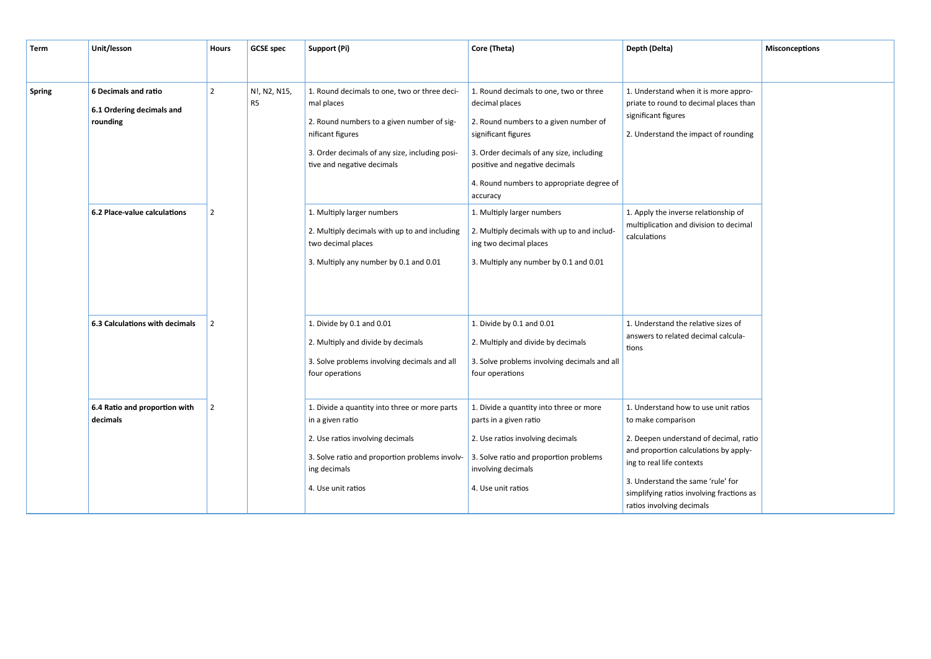| <b>Term</b> | Unit/lesson                                                          | <b>Hours</b>                     | <b>GCSE</b> spec | Support (Pi)                                                                                                                                                                                                 | Core (Theta)                                                                                                                                                                                                                                                    | Depth (Delta)                                                                                                                                                                                                                                                                             | <b>Misconceptions</b> |
|-------------|----------------------------------------------------------------------|----------------------------------|------------------|--------------------------------------------------------------------------------------------------------------------------------------------------------------------------------------------------------------|-----------------------------------------------------------------------------------------------------------------------------------------------------------------------------------------------------------------------------------------------------------------|-------------------------------------------------------------------------------------------------------------------------------------------------------------------------------------------------------------------------------------------------------------------------------------------|-----------------------|
|             |                                                                      |                                  |                  |                                                                                                                                                                                                              |                                                                                                                                                                                                                                                                 |                                                                                                                                                                                                                                                                                           |                       |
| Spring      | <b>6 Decimals and ratio</b><br>6.1 Ordering decimals and<br>rounding | $\overline{2}$<br>R <sub>5</sub> | N!, N2, N15,     | 1. Round decimals to one, two or three deci-<br>mal places<br>2. Round numbers to a given number of sig-<br>nificant figures<br>3. Order decimals of any size, including posi-<br>tive and negative decimals | 1. Round decimals to one, two or three<br>decimal places<br>2. Round numbers to a given number of<br>significant figures<br>3. Order decimals of any size, including<br>positive and negative decimals<br>4. Round numbers to appropriate degree of<br>accuracy | 1. Understand when it is more appro-<br>priate to round to decimal places than<br>significant figures<br>2. Understand the impact of rounding                                                                                                                                             |                       |
|             | 6.2 Place-value calculations                                         | $\overline{2}$                   |                  | 1. Multiply larger numbers<br>2. Multiply decimals with up to and including<br>two decimal places<br>3. Multiply any number by 0.1 and 0.01                                                                  | 1. Multiply larger numbers<br>2. Multiply decimals with up to and includ-<br>ing two decimal places<br>3. Multiply any number by 0.1 and 0.01                                                                                                                   | 1. Apply the inverse relationship of<br>multiplication and division to decimal<br>calculations                                                                                                                                                                                            |                       |
|             | 6.3 Calculations with decimals                                       | $\overline{2}$                   |                  | 1. Divide by 0.1 and 0.01<br>2. Multiply and divide by decimals<br>3. Solve problems involving decimals and all<br>four operations                                                                           | 1. Divide by 0.1 and 0.01<br>2. Multiply and divide by decimals<br>3. Solve problems involving decimals and all<br>four operations                                                                                                                              | 1. Understand the relative sizes of<br>answers to related decimal calcula-<br>tions                                                                                                                                                                                                       |                       |
|             | 6.4 Ratio and proportion with<br>decimals                            | $\overline{2}$                   |                  | 1. Divide a quantity into three or more parts<br>in a given ratio<br>2. Use ratios involving decimals<br>3. Solve ratio and proportion problems involv-<br>ing decimals<br>4. Use unit ratios                | 1. Divide a quantity into three or more<br>parts in a given ratio<br>2. Use ratios involving decimals<br>3. Solve ratio and proportion problems<br>involving decimals<br>4. Use unit ratios                                                                     | 1. Understand how to use unit ratios<br>to make comparison<br>2. Deepen understand of decimal, ratio<br>and proportion calculations by apply-<br>ing to real life contexts<br>3. Understand the same 'rule' for<br>simplifying ratios involving fractions as<br>ratios involving decimals |                       |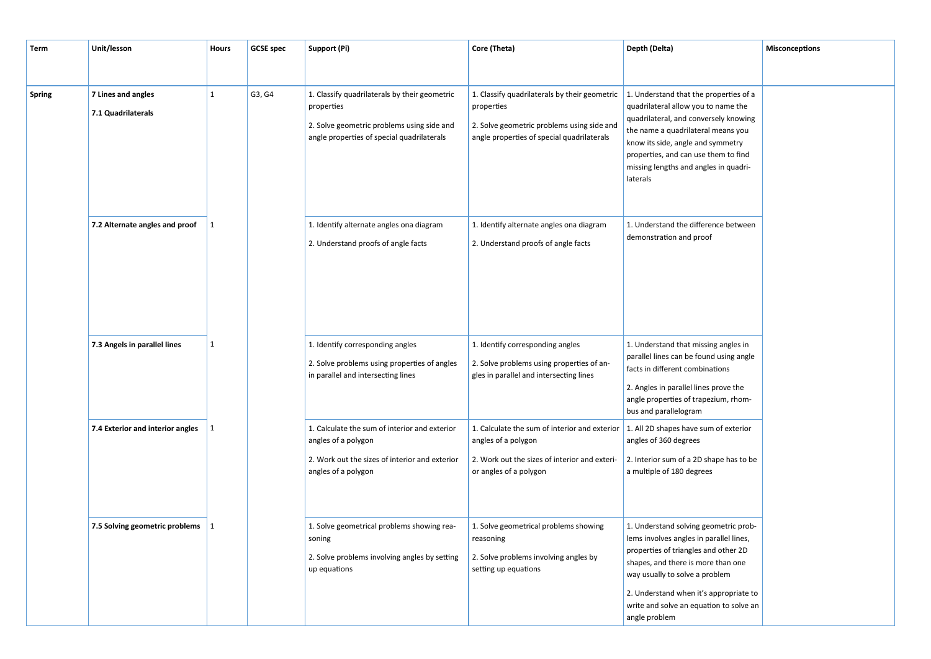| Term   | Unit/lesson                              | <b>Hours</b> | <b>GCSE</b> spec | Support (Pi)                                                                                                                                            | Core (Theta)                                                                                                                                                                                  | Depth (Delta)                                                                                                                                                                                                                                                                                          | Misconceptions |
|--------|------------------------------------------|--------------|------------------|---------------------------------------------------------------------------------------------------------------------------------------------------------|-----------------------------------------------------------------------------------------------------------------------------------------------------------------------------------------------|--------------------------------------------------------------------------------------------------------------------------------------------------------------------------------------------------------------------------------------------------------------------------------------------------------|----------------|
| Spring | 7 Lines and angles<br>7.1 Quadrilaterals | 1            | G3, G4           | 1. Classify quadrilaterals by their geometric<br>properties<br>2. Solve geometric problems using side and<br>angle properties of special quadrilaterals | 1. Classify quadrilaterals by their geometric<br>properties<br>2. Solve geometric problems using side and<br>angle properties of special quadrilaterals                                       | 1. Understand that the properties of a<br>quadrilateral allow you to name the<br>quadrilateral, and conversely knowing<br>the name a quadrilateral means you<br>know its side, angle and symmetry<br>properties, and can use them to find<br>missing lengths and angles in quadri-<br>laterals         |                |
|        | 7.2 Alternate angles and proof           | 1            |                  | 1. Identify alternate angles ona diagram<br>2. Understand proofs of angle facts                                                                         | 1. Identify alternate angles ona diagram<br>2. Understand proofs of angle facts                                                                                                               | 1. Understand the difference between<br>demonstration and proof                                                                                                                                                                                                                                        |                |
|        | 7.3 Angels in parallel lines             | 1            |                  | 1. Identify corresponding angles<br>2. Solve problems using properties of angles<br>in parallel and intersecting lines                                  | 1. Identify corresponding angles<br>2. Solve problems using properties of an-<br>gles in parallel and intersecting lines                                                                      | 1. Understand that missing angles in<br>parallel lines can be found using angle<br>facts in different combinations<br>2. Angles in parallel lines prove the<br>angle properties of trapezium, rhom-<br>bus and parallelogram                                                                           |                |
|        | 7.4 Exterior and interior angles         | 1            |                  | 1. Calculate the sum of interior and exterior<br>angles of a polygon<br>2. Work out the sizes of interior and exterior<br>angles of a polygon           | 1. Calculate the sum of interior and exterior $\vert$ 1. All 2D shapes have sum of exterior<br>angles of a polygon<br>2. Work out the sizes of interior and exteri-<br>or angles of a polygon | angles of 360 degrees<br>2. Interior sum of a 2D shape has to be<br>a multiple of 180 degrees                                                                                                                                                                                                          |                |
|        | 7.5 Solving geometric problems           | 1            |                  | 1. Solve geometrical problems showing rea-<br>soning<br>2. Solve problems involving angles by setting<br>up equations                                   | 1. Solve geometrical problems showing<br>reasoning<br>2. Solve problems involving angles by<br>setting up equations                                                                           | 1. Understand solving geometric prob-<br>lems involves angles in parallel lines,<br>properties of triangles and other 2D<br>shapes, and there is more than one<br>way usually to solve a problem<br>2. Understand when it's appropriate to<br>write and solve an equation to solve an<br>angle problem |                |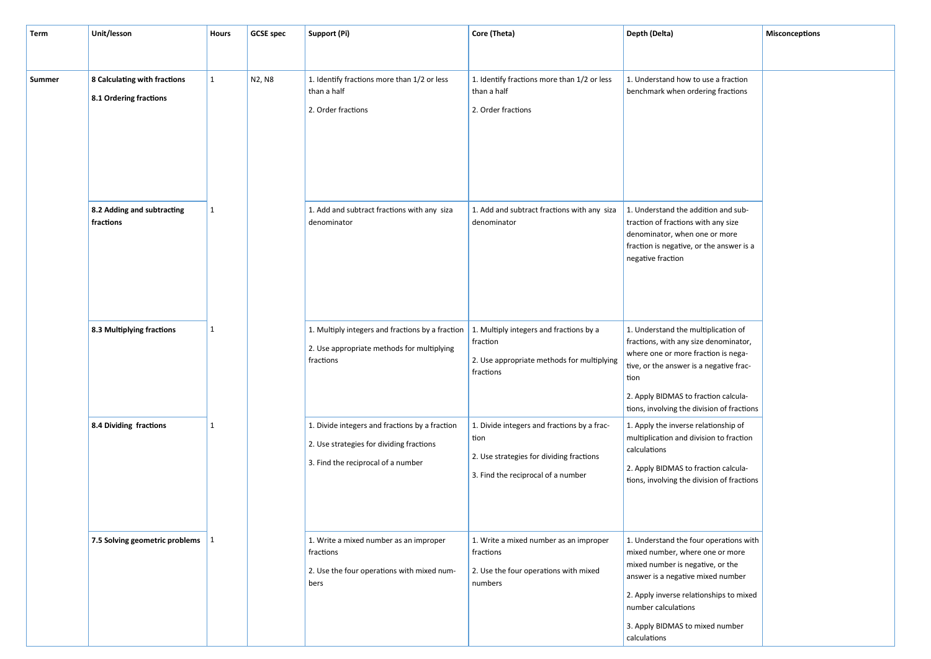| Term   | Unit/lesson                                            | Hours        | <b>GCSE</b> spec | Support (Pi)                                                                                                                     | Core (Theta)                                                                                                                          | Depth (Delta)                                                                                                                                                                                                                                                           | <b>Misconceptions</b> |
|--------|--------------------------------------------------------|--------------|------------------|----------------------------------------------------------------------------------------------------------------------------------|---------------------------------------------------------------------------------------------------------------------------------------|-------------------------------------------------------------------------------------------------------------------------------------------------------------------------------------------------------------------------------------------------------------------------|-----------------------|
|        |                                                        |              |                  |                                                                                                                                  |                                                                                                                                       |                                                                                                                                                                                                                                                                         |                       |
| Summer | 8 Calculating with fractions<br>8.1 Ordering fractions | $\mathbf{1}$ | N2, N8           | 1. Identify fractions more than 1/2 or less<br>than a half<br>2. Order fractions                                                 | 1. Identify fractions more than 1/2 or less<br>than a half<br>2. Order fractions                                                      | 1. Understand how to use a fraction<br>benchmark when ordering fractions                                                                                                                                                                                                |                       |
|        | 8.2 Adding and subtracting<br>fractions                | $\mathbf{1}$ |                  | 1. Add and subtract fractions with any siza<br>denominator                                                                       | 1. Add and subtract fractions with any siza<br>denominator                                                                            | 1. Understand the addition and sub-<br>traction of fractions with any size<br>denominator, when one or more<br>fraction is negative, or the answer is a<br>negative fraction                                                                                            |                       |
|        | 8.3 Multiplying fractions                              | $\mathbf{1}$ |                  | 1. Multiply integers and fractions by a fraction<br>2. Use appropriate methods for multiplying<br>fractions                      | 1. Multiply integers and fractions by a<br>fraction<br>2. Use appropriate methods for multiplying<br>fractions                        | 1. Understand the multiplication of<br>fractions, with any size denominator,<br>where one or more fraction is nega-<br>tive, or the answer is a negative frac-<br>tion<br>2. Apply BIDMAS to fraction calcula-<br>tions, involving the division of fractions            |                       |
|        | 8.4 Dividing fractions                                 | $\mathbf{1}$ |                  | 1. Divide integers and fractions by a fraction<br>2. Use strategies for dividing fractions<br>3. Find the reciprocal of a number | 1. Divide integers and fractions by a frac-<br>tion<br>2. Use strategies for dividing fractions<br>3. Find the reciprocal of a number | 1. Apply the inverse relationship of<br>multiplication and division to fraction<br>calculations<br>2. Apply BIDMAS to fraction calcula-<br>tions, involving the division of fractions                                                                                   |                       |
|        | 7.5 Solving geometric problems   1                     |              |                  | 1. Write a mixed number as an improper<br>fractions<br>2. Use the four operations with mixed num-<br>bers                        | 1. Write a mixed number as an improper<br>fractions<br>2. Use the four operations with mixed<br>numbers                               | 1. Understand the four operations with<br>mixed number, where one or more<br>mixed number is negative, or the<br>answer is a negative mixed number<br>2. Apply inverse relationships to mixed<br>number calculations<br>3. Apply BIDMAS to mixed number<br>calculations |                       |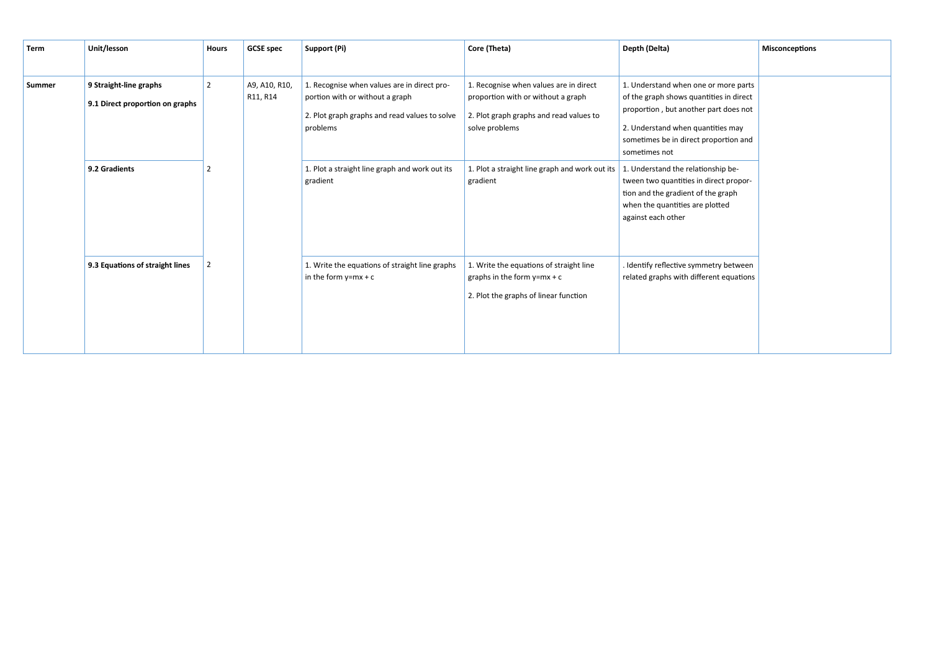| Term   | Unit/lesson                                               | <b>Hours</b> | <b>GCSE</b> spec          | Support (Pi)                                                                                                                                | Core (Theta)                                                                                                                              | Depth (Delta)                                                                                                                                                                                                           | <b>Misconceptions</b> |
|--------|-----------------------------------------------------------|--------------|---------------------------|---------------------------------------------------------------------------------------------------------------------------------------------|-------------------------------------------------------------------------------------------------------------------------------------------|-------------------------------------------------------------------------------------------------------------------------------------------------------------------------------------------------------------------------|-----------------------|
|        |                                                           |              |                           |                                                                                                                                             |                                                                                                                                           |                                                                                                                                                                                                                         |                       |
| Summer | 9 Straight-line graphs<br>9.1 Direct proportion on graphs | 2            | A9, A10, R10,<br>R11, R14 | 1. Recognise when values are in direct pro-<br>portion with or without a graph<br>2. Plot graph graphs and read values to solve<br>problems | 1. Recognise when values are in direct<br>proportion with or without a graph<br>2. Plot graph graphs and read values to<br>solve problems | 1. Understand when one or more parts<br>of the graph shows quantities in direct<br>proportion, but another part does not<br>2. Understand when quantities may<br>sometimes be in direct proportion and<br>sometimes not |                       |
|        | 9.2 Gradients                                             |              |                           | 1. Plot a straight line graph and work out its<br>gradient                                                                                  | 1. Plot a straight line graph and work out its<br>gradient                                                                                | 1. Understand the relationship be-<br>tween two quantities in direct propor-<br>tion and the gradient of the graph<br>when the quantities are plotted<br>against each other                                             |                       |
|        | 9.3 Equations of straight lines                           |              |                           | 1. Write the equations of straight line graphs<br>in the form $y=mx + c$                                                                    | 1. Write the equations of straight line<br>graphs in the form $y=mx + c$<br>2. Plot the graphs of linear function                         | Identify reflective symmetry between<br>related graphs with different equations                                                                                                                                         |                       |